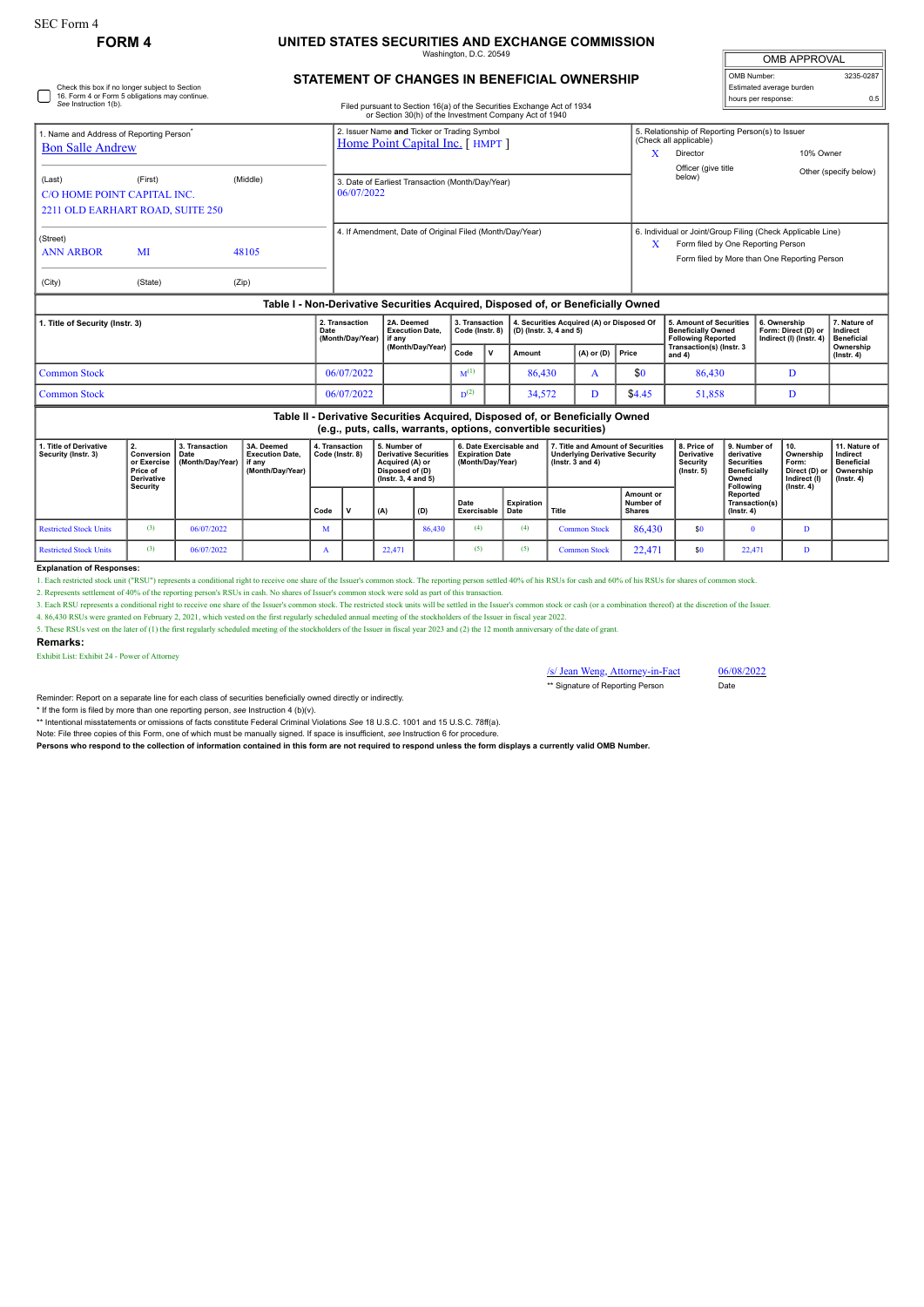# **FORM 4 UNITED STATES SECURITIES AND EXCHANGE COMMISSION**

Washington, D.C. 20549

### OMB APPROVAL OMB Number: 3235-0287 Estimated average burden hours per response: 0.5

Check this box if no longer subject to Section 16. Form 4 or Form 5 obligations may continue. *See* Instruction 1(b).

# **STATEMENT OF CHANGES IN BENEFICIAL OWNERSHIP**

Filed pursuant to Section 16(a) of the Securities Exchange Act of 1934 or Section 30(h) of the Investment Company Act of 1940

| Name and Address of Reporting Person<br><b>Bon Salle Andrew</b>                  |                                             |          | 2. Issuer Name and Ticker or Trading Symbol<br>Home Point Capital Inc. [HMPT] | A                                                                                                                                                      | 5. Relationship of Reporting Person(s) to Issuer<br>(Check all applicable)<br>Director | 10% Owner             |  |  |  |  |
|----------------------------------------------------------------------------------|---------------------------------------------|----------|-------------------------------------------------------------------------------|--------------------------------------------------------------------------------------------------------------------------------------------------------|----------------------------------------------------------------------------------------|-----------------------|--|--|--|--|
| (Last)<br>C/O HOME POINT CAPITAL INC.                                            | (First)<br>2211 OLD EARHART ROAD, SUITE 250 | (Middle) | 3. Date of Earliest Transaction (Month/Day/Year)<br>06/07/2022                |                                                                                                                                                        | Officer (give title<br>below)                                                          | Other (specify below) |  |  |  |  |
| (Street)<br>MI<br>48105<br><b>ANN ARBOR</b><br>(City)<br>(State)                 |                                             | (Zip)    | 4. If Amendment, Date of Original Filed (Month/Day/Year)                      | 6. Individual or Joint/Group Filing (Check Applicable Line)<br>x<br>Form filed by One Reporting Person<br>Form filed by More than One Reporting Person |                                                                                        |                       |  |  |  |  |
|                                                                                  |                                             |          |                                                                               |                                                                                                                                                        |                                                                                        |                       |  |  |  |  |
| Table I - Non-Derivative Securities Acquired. Disposed of, or Beneficially Owned |                                             |          |                                                                               |                                                                                                                                                        |                                                                                        |                       |  |  |  |  |

| 1. Title of Security (Instr. 3) |              | 2. Transaction<br>Date<br>(Month/Dav/Year) | 2A. Deemed<br><b>Execution Date.</b><br>l if anv | 3. Transaction<br>Code (Instr. 8) |              | 4. Securities Acquired (A) or Disposed Of<br>$ $ (D) (lnstr. 3, 4 and 5) |                      |        | 5. Amount of Securities<br>Beneficially Owned<br>Following Reported | 6. Ownership<br>Form: Direct (D) or   Indirect<br>Indirect (I) (Instr. 4) | 7. Nature of<br>Beneficial    |  |
|---------------------------------|--------------|--------------------------------------------|--------------------------------------------------|-----------------------------------|--------------|--------------------------------------------------------------------------|----------------------|--------|---------------------------------------------------------------------|---------------------------------------------------------------------------|-------------------------------|--|
|                                 |              |                                            | (Month/Dav/Year)                                 | Code                              | $\mathbf{v}$ | Amount                                                                   | $(A)$ or $(D)$ Price |        | Transaction(s) (Instr. 3<br>and 4)                                  |                                                                           | Ownership<br>$($ lnstr $, 4)$ |  |
|                                 | Common Stock | 06/07/2022                                 |                                                  | $M^{(1)}$                         |              | 86.430                                                                   |                      | \$0    | 86.430                                                              |                                                                           |                               |  |
|                                 | Common Stock | 06/07/2022                                 |                                                  | $D^{(2)}$                         |              | 34,572                                                                   |                      | \$4.45 | 51,858                                                              |                                                                           |                               |  |

| Table II - Derivative Securities Acquired, Disposed of, or Beneficially Owned<br>(e.g., puts, calls, warrants, options, convertible securities) |                                                                               |                                            |                                                                    |                                   |  |                                                                                                                 |        |                                                                       |                    |                                                                                                       |                                         |                                                                         |                                                                                              |                                                            |                                                                                 |
|-------------------------------------------------------------------------------------------------------------------------------------------------|-------------------------------------------------------------------------------|--------------------------------------------|--------------------------------------------------------------------|-----------------------------------|--|-----------------------------------------------------------------------------------------------------------------|--------|-----------------------------------------------------------------------|--------------------|-------------------------------------------------------------------------------------------------------|-----------------------------------------|-------------------------------------------------------------------------|----------------------------------------------------------------------------------------------|------------------------------------------------------------|---------------------------------------------------------------------------------|
| . Title of Derivative<br>Security (Instr. 3)                                                                                                    | Conversion<br>or Exercise<br><b>Price of</b><br><b>Derivative</b><br>Security | 3. Transaction<br>Date<br>(Month/Dav/Year) | 3A. Deemed<br><b>Execution Date.</b><br>if any<br>(Month/Day/Year) | 4. Transaction<br>Code (Instr. 8) |  | 5. Number of<br><b>Derivative Securities</b><br>Acquired (A) or<br>Disposed of (D)<br>$($ lnstr. 3. 4 and 5 $)$ |        | 6. Date Exercisable and<br><b>Expiration Date</b><br>(Month/Dav/Year) |                    | 7. Title and Amount of Securities<br><b>Underlying Derivative Security</b><br>$($ lnstr. $3$ and $4)$ |                                         | 8. Price of<br><b>Derivative</b><br><b>Security</b><br>$($ lnstr. 5 $)$ | 9. Number of<br>derivative<br><b>Securities</b><br><b>Beneficially</b><br>Owned<br>Following | 10.<br>Ownership<br>Form:<br>Direct (D) or<br>Indirect (I) | 11. Nature of<br>Indirect<br><b>Beneficial</b><br>Ownership<br>$($ lnstr. 4 $)$ |
|                                                                                                                                                 |                                                                               |                                            |                                                                    | Code                              |  | (A)                                                                                                             | (D)    | <b>Date</b><br>Exercisable                                            | Expiration<br>Date | │ Title                                                                                               | Amount or<br>Number of<br><b>Shares</b> |                                                                         | Reported<br>Transaction(s)<br>$($ lnstr. 4 $)$                                               | $($ lnstr. 4 $)$                                           |                                                                                 |
| <b>Restricted Stock Units</b>                                                                                                                   | (3)                                                                           | 06/07/2022                                 |                                                                    | M                                 |  |                                                                                                                 | 86.430 | (4)                                                                   | (4)                | <b>Common Stock</b>                                                                                   | 86.430                                  | \$0                                                                     |                                                                                              | n                                                          |                                                                                 |
| <b>Restricted Stock Units</b>                                                                                                                   | (3)                                                                           | 06/07/2022                                 |                                                                    |                                   |  | 22.471                                                                                                          |        | (5)                                                                   | (5)                | <b>Common Stock</b>                                                                                   | 22.471                                  | \$0                                                                     | 22.471                                                                                       | D                                                          |                                                                                 |

#### **Explanation of Responses:**

1. Each restricted stock unit ("RSU") represents a conditional right to receive one share of the Issuer's common stock. The reporting person settled 40% of his RSUs for cash and 60% of his RSUs for shares of common stock.

2. Represents settlement of 40% of the reporting person's RSUs in cash. No shares of Issuer's common stock were sold as part of this trans

3. Each RSU represents a conditional right to receive one share of the Issuer's common stock. The restricted stock units will be settled in the Issuer's common stock or cash (or a combination thereof) at the discretion of

4. 86,430 RSUs were granted on February 2, 2021, which vested on the first regularly scheduled annual meeting of the stockholders of the Issuer in fiscal year 2022.

5. These RSUs vest on the later of (1) the first regularly scheduled meeting of the stockholders of the Issuer in fiscal year 2023 and (2) the 12 month anniversary of the date of grant.

#### **Remarks:**

Exhibit List: Exhibit 24 - Power of Attorney

/s/ Jean Weng, Attorney-in-Fact 06/08/2022 \*\* Signature of Reporting Person Date

Reminder: Report on a separate line for each class of securities beneficially owned directly or indirectly.

\* If the form is filed by more than one reporting person, *see* Instruction 4 (b)(v).

\*\* Intentional misstatements or omissions of facts constitute Federal Criminal Violations *See* 18 U.S.C. 1001 and 15 U.S.C. 78ff(a).

Note: File three copies of this Form, one of which must be manually signed. If space is insufficient, *see* Instruction 6 for procedure.

**Persons who respond to the collection of information contained in this form are not required to respond unless the form displays a currently valid OMB Number.**